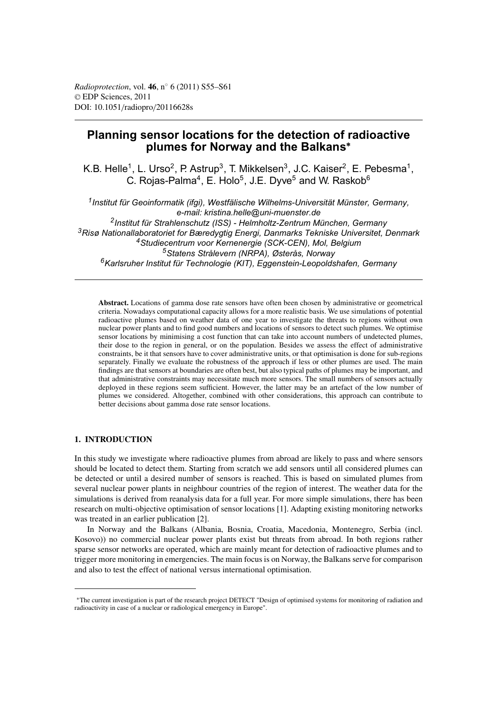# **Planning sensor locations for the detection of radioactive plumes for Norway and the Balkans<sup>∗</sup>**

K.B. Helle<sup>1</sup>, L. Urso<sup>2</sup>, P. Astrup<sup>3</sup>, T. Mikkelsen<sup>3</sup>, J.C. Kaiser<sup>2</sup>, E. Pebesma<sup>1</sup>, C. Rojas-Palma<sup>4</sup>, E. Holo<sup>5</sup>, J.E. Dyve<sup>5</sup> and W. Raskob<sup>6</sup>

*1Institut für Geoinformatik (ifgi), Westfälische Wilhelms-Universität Münster, Germany, e-mail: kristina.helle@uni-muenster.de 2Institut für Strahlenschutz (ISS) - Helmholtz-Zentrum München, Germany 3Risø Nationallaboratoriet for Bæredygtig Energi, Danmarks Tekniske Universitet, Denmark 4Studiecentrum voor Kernenergie (SCK-CEN), Mol, Belgium 5Statens Strålevern (NRPA), Østerås, Norway 6Karlsruher Institut für Technologie (KIT), Eggenstein-Leopoldshafen, Germany*

**Abstract.** Locations of gamma dose rate sensors have often been chosen by administrative or geometrical criteria. Nowadays computational capacity allows for a more realistic basis. We use simulations of potential radioactive plumes based on weather data of one year to investigate the threats to regions without own nuclear power plants and to find good numbers and locations of sensors to detect such plumes. We optimise sensor locations by minimising a cost function that can take into account numbers of undetected plumes, their dose to the region in general, or on the population. Besides we assess the effect of administrative constraints, be it that sensors have to cover administrative units, or that optimisation is done for sub-regions separately. Finally we evaluate the robustness of the approach if less or other plumes are used. The main findings are that sensors at boundaries are often best, but also typical paths of plumes may be important, and that administrative constraints may necessitate much more sensors. The small numbers of sensors actually deployed in these regions seem sufficient. However, the latter may be an artefact of the low number of plumes we considered. Altogether, combined with other considerations, this approach can contribute to better decisions about gamma dose rate sensor locations.

# **1. INTRODUCTION**

In this study we investigate where radioactive plumes from abroad are likely to pass and where sensors should be located to detect them. Starting from scratch we add sensors until all considered plumes can be detected or until a desired number of sensors is reached. This is based on simulated plumes from several nuclear power plants in neighbour countries of the region of interest. The weather data for the simulations is derived from reanalysis data for a full year. For more simple simulations, there has been research on multi-objective optimisation of sensor locations [1]. Adapting existing monitoring networks was treated in an earlier publication [2].

In Norway and the Balkans (Albania, Bosnia, Croatia, Macedonia, Montenegro, Serbia (incl. Kosovo)) no commercial nuclear power plants exist but threats from abroad. In both regions rather sparse sensor networks are operated, which are mainly meant for detection of radioactive plumes and to trigger more monitoring in emergencies. The main focus is on Norway, the Balkans serve for comparison and also to test the effect of national versus international optimisation.

<sup>∗</sup>The current investigation is part of the research project DETECT "Design of optimised systems for monitoring of radiation and radioactivity in case of a nuclear or radiological emergency in Europe".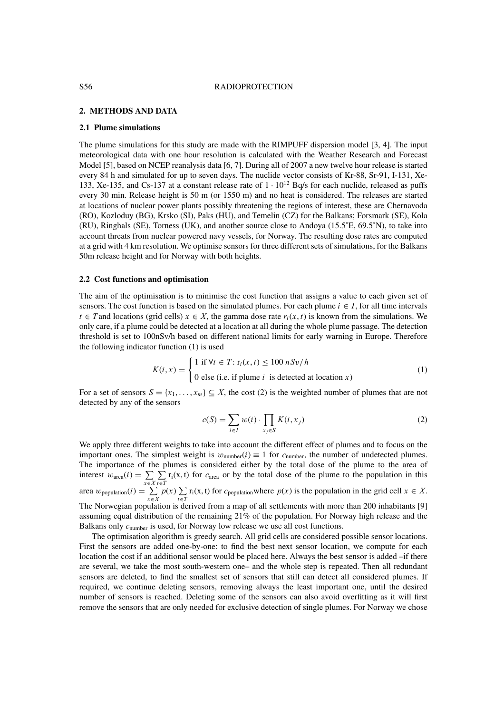#### S56 RADIOPROTECTION

### **2. METHODS AND DATA**

### **2.1 Plume simulations**

The plume simulations for this study are made with the RIMPUFF dispersion model [3, 4]. The input meteorological data with one hour resolution is calculated with the Weather Research and Forecast Model [5], based on NCEP reanalysis data [6, 7]. During all of 2007 a new twelve hour release is started every 84 h and simulated for up to seven days. The nuclide vector consists of Kr-88, Sr-91, I-131, Xe-133, Xe-135, and Cs-137 at a constant release rate of  $1 \cdot 10^{12}$  Bq/s for each nuclide, released as puffs every 30 min. Release height is 50 m (or 1550 m) and no heat is considered. The releases are started at locations of nuclear power plants possibly threatening the regions of interest, these are Chernavoda (RO), Kozloduy (BG), Krsko (SI), Paks (HU), and Temelin (CZ) for the Balkans; Forsmark (SE), Kola (RU), Ringhals (SE), Torness (UK), and another source close to Andoya (15.5˚E, 69.5˚N), to take into account threats from nuclear powered navy vessels, for Norway. The resulting dose rates are computed at a grid with 4 km resolution. We optimise sensors for three different sets of simulations, for the Balkans 50m release height and for Norway with both heights.

#### **2.2 Cost functions and optimisation**

The aim of the optimisation is to minimise the cost function that assigns a value to each given set of sensors. The cost function is based on the simulated plumes. For each plume  $i \in I$ , for all time intervals  $t \in T$  and locations (grid cells)  $x \in X$ , the gamma dose rate  $r_i(x, t)$  is known from the simulations. We only care, if a plume could be detected at a location at all during the whole plume passage. The detection threshold is set to 100nSv/h based on different national limits for early warning in Europe. Therefore the following indicator function (1) is used

$$
K(i, x) = \begin{cases} 1 \text{ if } \forall t \in T : r_i(x, t) \le 100 \, nSv/h \\ 0 \text{ else (i.e. if plume } i \text{ is detected at location } x) \end{cases} \tag{1}
$$

For a set of sensors  $S = \{x_1, \ldots, x_m\} \subseteq X$ , the cost (2) is the weighted number of plumes that are not detected by any of the sensors

$$
c(S) = \sum_{i \in I} w(i) \cdot \prod_{x_j \in S} K(i, x_j)
$$
 (2)

We apply three different weights to take into account the different effect of plumes and to focus on the important ones. The simplest weight is  $w_{\text{number}}(i) \equiv 1$  for  $c_{\text{number}}$ , the number of undetected plumes. The importance of the plumes is considered either by the total dose of the plume to the area of interest  $w_{\text{area}}(i) = \sum_{x \in X}$ Σ  $\sum_{t \in T}$  r<sub>i</sub>(x, t) for c<sub>area</sub> or by the total dose of the plume to the population in this area  $w_{\text{population}}(i) = \sum_{x \in X}$  $p(x) \sum$  $\sum_{t \in T}$  r<sub>i</sub>(x, t) for *c*<sub>population</sub> where *p*(x) is the population in the grid cell  $x \in X$ . The Norwegian population is derived from a map of all settlements with more than 200 inhabitants [9] assuming equal distribution of the remaining 21% of the population. For Norway high release and the Balkans only  $c_{\text{number}}$  is used, for Norway low release we use all cost functions.

The optimisation algorithm is greedy search. All grid cells are considered possible sensor locations. First the sensors are added one-by-one: to find the best next sensor location, we compute for each location the cost if an additional sensor would be placed here. Always the best sensor is added –if there are several, we take the most south-western one– and the whole step is repeated. Then all redundant sensors are deleted, to find the smallest set of sensors that still can detect all considered plumes. If required, we continue deleting sensors, removing always the least important one, until the desired number of sensors is reached. Deleting some of the sensors can also avoid overfitting as it will first remove the sensors that are only needed for exclusive detection of single plumes. For Norway we chose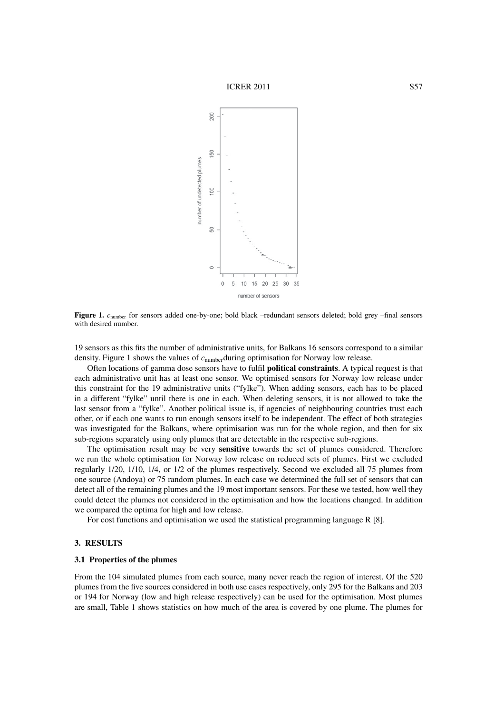

**Figure 1.**  $c_{\text{number}}$  for sensors added one-by-one; bold black –redundant sensors deleted; bold grey –final sensors with desired number.

19 sensors as this fits the number of administrative units, for Balkans 16 sensors correspond to a similar density. Figure 1 shows the values of  $c<sub>number</sub>$  during optimisation for Norway low release.

Often locations of gamma dose sensors have to fulfil **political constraints**. A typical request is that each administrative unit has at least one sensor. We optimised sensors for Norway low release under this constraint for the 19 administrative units ("fylke"). When adding sensors, each has to be placed in a different "fylke" until there is one in each. When deleting sensors, it is not allowed to take the last sensor from a "fylke". Another political issue is, if agencies of neighbouring countries trust each other, or if each one wants to run enough sensors itself to be independent. The effect of both strategies was investigated for the Balkans, where optimisation was run for the whole region, and then for six sub-regions separately using only plumes that are detectable in the respective sub-regions.

The optimisation result may be very **sensitive** towards the set of plumes considered. Therefore we run the whole optimisation for Norway low release on reduced sets of plumes. First we excluded regularly 1/20, 1/10, 1/4, or 1/2 of the plumes respectively. Second we excluded all 75 plumes from one source (Andoya) or 75 random plumes. In each case we determined the full set of sensors that can detect all of the remaining plumes and the 19 most important sensors. For these we tested, how well they could detect the plumes not considered in the optimisation and how the locations changed. In addition we compared the optima for high and low release.

For cost functions and optimisation we used the statistical programming language R [8].

# **3. RESULTS**

## **3.1 Properties of the plumes**

From the 104 simulated plumes from each source, many never reach the region of interest. Of the 520 plumes from the five sources considered in both use cases respectively, only 295 for the Balkans and 203 or 194 for Norway (low and high release respectively) can be used for the optimisation. Most plumes are small, Table 1 shows statistics on how much of the area is covered by one plume. The plumes for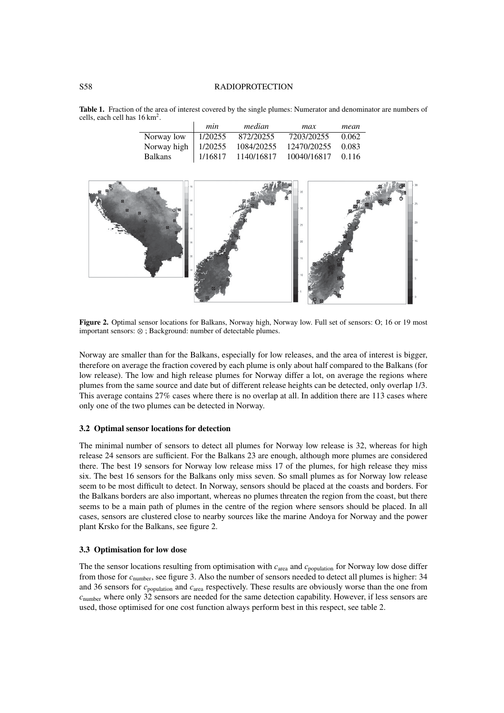#### S58 RADIOPROTECTION

**Table 1.** Fraction of the area of interest covered by the single plumes: Numerator and denominator are numbers of cells, each cell has  $16 \text{ km}^2$ .

|                | min     | median     | max         | mean  |
|----------------|---------|------------|-------------|-------|
| Norway low     | 1/20255 | 872/20255  | 7203/20255  | 0.062 |
| Norway high    | 1/20255 | 1084/20255 | 12470/20255 | 0.083 |
| <b>Balkans</b> | 1/16817 | 1140/16817 | 10040/16817 | 0.116 |



**Figure 2.** Optimal sensor locations for Balkans, Norway high, Norway low. Full set of sensors: O; 16 or 19 most important sensors: ⊗ ; Background: number of detectable plumes.

Norway are smaller than for the Balkans, especially for low releases, and the area of interest is bigger, therefore on average the fraction covered by each plume is only about half compared to the Balkans (for low release). The low and high release plumes for Norway differ a lot, on average the regions where plumes from the same source and date but of different release heights can be detected, only overlap 1/3. This average contains 27% cases where there is no overlap at all. In addition there are 113 cases where only one of the two plumes can be detected in Norway.

#### **3.2 Optimal sensor locations for detection**

The minimal number of sensors to detect all plumes for Norway low release is 32, whereas for high release 24 sensors are sufficient. For the Balkans 23 are enough, although more plumes are considered there. The best 19 sensors for Norway low release miss 17 of the plumes, for high release they miss six. The best 16 sensors for the Balkans only miss seven. So small plumes as for Norway low release seem to be most difficult to detect. In Norway, sensors should be placed at the coasts and borders. For the Balkans borders are also important, whereas no plumes threaten the region from the coast, but there seems to be a main path of plumes in the centre of the region where sensors should be placed. In all cases, sensors are clustered close to nearby sources like the marine Andoya for Norway and the power plant Krsko for the Balkans, see figure 2.

## **3.3 Optimisation for low dose**

The the sensor locations resulting from optimisation with  $c_{area}$  and  $c_{population}$  for Norway low dose differ from those for cnumber, see figure 3. Also the number of sensors needed to detect all plumes is higher: 34 and 36 sensors for  $c_{\text{population}}$  and  $c_{\text{area}}$  respectively. These results are obviously worse than the one from  $c<sub>number</sub>$  where only 32 sensors are needed for the same detection capability. However, if less sensors are used, those optimised for one cost function always perform best in this respect, see table 2.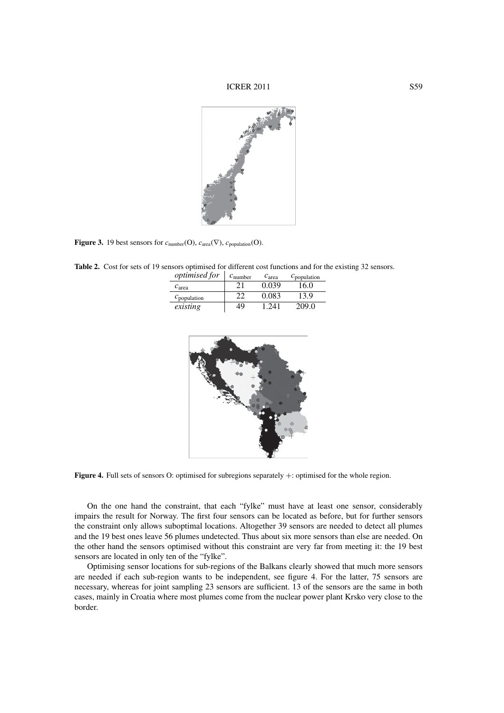#### **ICRER 2011** S59



**Figure 3.** 19 best sensors for  $c_{\text{number}}(O)$ ,  $c_{\text{area}}(\nabla)$ ,  $c_{\text{population}}(O)$ .

**Table 2.** Cost for sets of 19 sensors optimised for different cost functions and for the existing 32 sensors.

| <i>optimised for</i>    | c <sub>number</sub> | $c_{area}$ | $c_{\text{population}}$ |
|-------------------------|---------------------|------------|-------------------------|
| $c_{area}$              |                     | 0.039      | 16.0                    |
| $c_{\text{population}}$ |                     | 0.083      | 13.9                    |
| existing                | 49                  | 241        | 209 O                   |



**Figure 4.** Full sets of sensors O: optimised for subregions separately +: optimised for the whole region.

On the one hand the constraint, that each "fylke" must have at least one sensor, considerably impairs the result for Norway. The first four sensors can be located as before, but for further sensors the constraint only allows suboptimal locations. Altogether 39 sensors are needed to detect all plumes and the 19 best ones leave 56 plumes undetected. Thus about six more sensors than else are needed. On the other hand the sensors optimised without this constraint are very far from meeting it: the 19 best sensors are located in only ten of the "fylke".

Optimising sensor locations for sub-regions of the Balkans clearly showed that much more sensors are needed if each sub-region wants to be independent, see figure 4. For the latter, 75 sensors are necessary, whereas for joint sampling 23 sensors are sufficient. 13 of the sensors are the same in both cases, mainly in Croatia where most plumes come from the nuclear power plant Krsko very close to the border.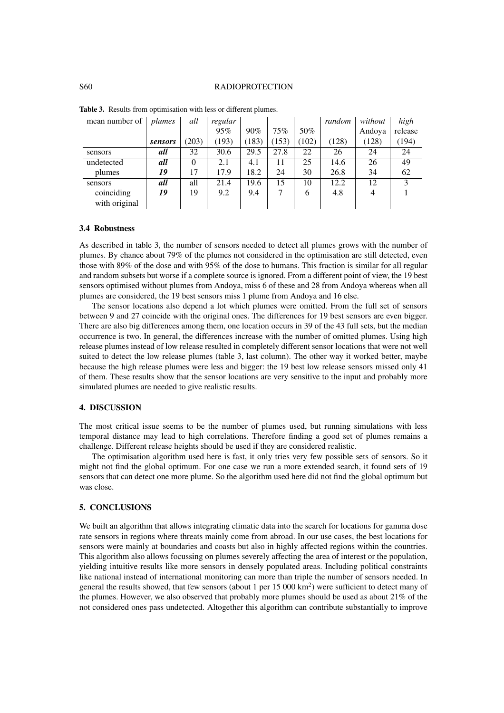#### S60 RADIOPROTECTION

| mean number of | plumes  | all      | regular |        |       |       | random | without        | high    |
|----------------|---------|----------|---------|--------|-------|-------|--------|----------------|---------|
|                |         |          | 95%     | $90\%$ | 75%   | 50%   |        | Andova         | release |
|                | sensors | (203)    | (193)   | (183)  | (153) | (102) | (128)  | (128)          | (194)   |
| sensors        | all     | 32       | 30.6    | 29.5   | 27.8  | 22    | 26     | 24             | 24      |
| undetected     | all     | $\theta$ | 2.1     | 4.1    | 11    | 25    | 14.6   | 26             | 49      |
| plumes         | 19      | 17       | 17.9    | 18.2   | 24    | 30    | 26.8   | 34             | 62      |
| sensors        | all     | all      | 21.4    | 19.6   | 15    | 10    | 12.2   | 12             | 3       |
| coinciding     | 19      | 19       | 9.2     | 9.4    |       | 6     | 4.8    | $\overline{4}$ |         |
| with original  |         |          |         |        |       |       |        |                |         |

**Table 3.** Results from optimisation with less or different plumes.

# **3.4 Robustness**

As described in table 3, the number of sensors needed to detect all plumes grows with the number of plumes. By chance about 79% of the plumes not considered in the optimisation are still detected, even those with 89% of the dose and with 95% of the dose to humans. This fraction is similar for all regular and random subsets but worse if a complete source is ignored. From a different point of view, the 19 best sensors optimised without plumes from Andoya, miss 6 of these and 28 from Andoya whereas when all plumes are considered, the 19 best sensors miss 1 plume from Andoya and 16 else.

The sensor locations also depend a lot which plumes were omitted. From the full set of sensors between 9 and 27 coincide with the original ones. The differences for 19 best sensors are even bigger. There are also big differences among them, one location occurs in 39 of the 43 full sets, but the median occurrence is two. In general, the differences increase with the number of omitted plumes. Using high release plumes instead of low release resulted in completely different sensor locations that were not well suited to detect the low release plumes (table 3, last column). The other way it worked better, maybe because the high release plumes were less and bigger: the 19 best low release sensors missed only 41 of them. These results show that the sensor locations are very sensitive to the input and probably more simulated plumes are needed to give realistic results.

# **4. DISCUSSION**

The most critical issue seems to be the number of plumes used, but running simulations with less temporal distance may lead to high correlations. Therefore finding a good set of plumes remains a challenge. Different release heights should be used if they are considered realistic.

The optimisation algorithm used here is fast, it only tries very few possible sets of sensors. So it might not find the global optimum. For one case we run a more extended search, it found sets of 19 sensors that can detect one more plume. So the algorithm used here did not find the global optimum but was close.

### **5. CONCLUSIONS**

We built an algorithm that allows integrating climatic data into the search for locations for gamma dose rate sensors in regions where threats mainly come from abroad. In our use cases, the best locations for sensors were mainly at boundaries and coasts but also in highly affected regions within the countries. This algorithm also allows focussing on plumes severely affecting the area of interest or the population, yielding intuitive results like more sensors in densely populated areas. Including political constraints like national instead of international monitoring can more than triple the number of sensors needed. In general the results showed, that few sensors (about 1 per  $15\,000\,\mathrm{km}^2$ ) were sufficient to detect many of the plumes. However, we also observed that probably more plumes should be used as about 21% of the not considered ones pass undetected. Altogether this algorithm can contribute substantially to improve